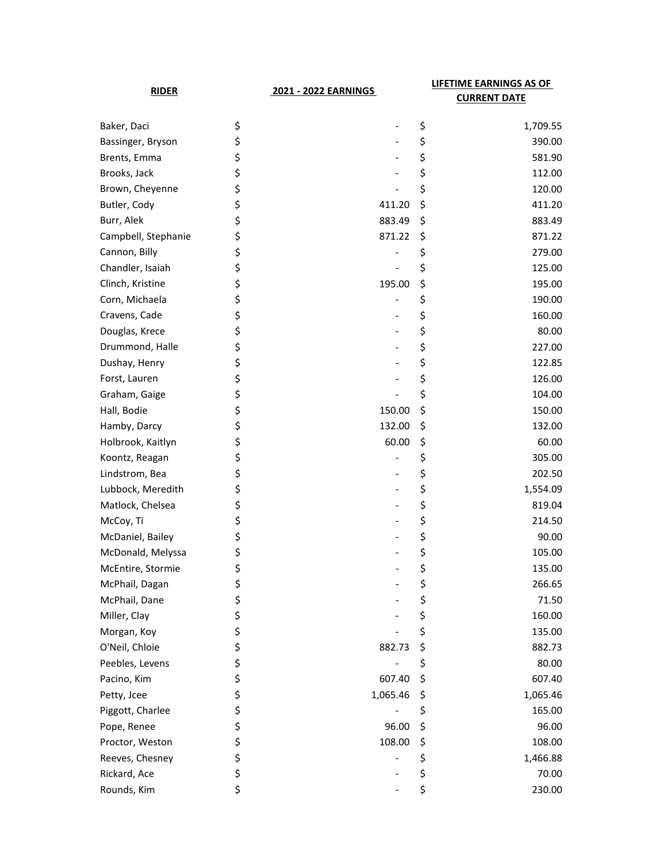| <b>RIDER</b>        |    | 2021 - 2022 EARNINGS | LIFETIME EARNINGS AS OF<br><b>CURRENT DATE</b> |  |
|---------------------|----|----------------------|------------------------------------------------|--|
| Baker, Daci         | \$ |                      | \$<br>1,709.55                                 |  |
| Bassinger, Bryson   | \$ |                      | \$<br>390.00                                   |  |
| Brents, Emma        | \$ |                      | \$<br>581.90                                   |  |
| Brooks, Jack        | \$ |                      | \$<br>112.00                                   |  |
| Brown, Cheyenne     | \$ |                      | \$<br>120.00                                   |  |
| Butler, Cody        | \$ | 411.20               | \$<br>411.20                                   |  |
| Burr, Alek          | \$ | 883.49               | \$<br>883.49                                   |  |
| Campbell, Stephanie | \$ | 871.22               | \$<br>871.22                                   |  |
| Cannon, Billy       | \$ |                      | \$<br>279.00                                   |  |
| Chandler, Isaiah    | \$ |                      | \$<br>125.00                                   |  |
| Clinch, Kristine    | \$ | 195.00               | \$<br>195.00                                   |  |
| Corn, Michaela      | \$ |                      | \$<br>190.00                                   |  |
| Cravens, Cade       | \$ |                      | \$<br>160.00                                   |  |
| Douglas, Krece      | \$ |                      | \$<br>80.00                                    |  |
| Drummond, Halle     | \$ |                      | \$<br>227.00                                   |  |
| Dushay, Henry       | \$ |                      | \$<br>122.85                                   |  |
| Forst, Lauren       | \$ |                      | \$<br>126.00                                   |  |
| Graham, Gaige       | \$ |                      | \$<br>104.00                                   |  |
| Hall, Bodie         | \$ | 150.00               | \$<br>150.00                                   |  |
| Hamby, Darcy        | \$ | 132.00               | \$<br>132.00                                   |  |
| Holbrook, Kaitlyn   | \$ | 60.00                | \$<br>60.00                                    |  |
| Koontz, Reagan      | \$ |                      | \$<br>305.00                                   |  |
| Lindstrom, Bea      | \$ |                      | \$<br>202.50                                   |  |
| Lubbock, Meredith   | \$ |                      | \$<br>1,554.09                                 |  |
| Matlock, Chelsea    | \$ |                      | \$<br>819.04                                   |  |
| McCoy, Ti           | \$ |                      | \$<br>214.50                                   |  |
| McDaniel, Bailey    | \$ |                      | \$<br>90.00                                    |  |
| McDonald, Melyssa   | \$ |                      | \$<br>105.00                                   |  |
| McEntire, Stormie   | \$ |                      | \$<br>135.00                                   |  |
| McPhail, Dagan      | \$ |                      | \$<br>266.65                                   |  |
| McPhail, Dane       | \$ |                      | \$<br>71.50                                    |  |
| Miller, Clay        | \$ |                      | \$<br>160.00                                   |  |
| Morgan, Koy         | \$ |                      | \$<br>135.00                                   |  |
| O'Neil, Chloie      | \$ | 882.73               | \$<br>882.73                                   |  |
| Peebles, Levens     | \$ |                      | \$<br>80.00                                    |  |
| Pacino, Kim         | \$ | 607.40               | \$<br>607.40                                   |  |
| Petty, Jcee         | \$ | 1,065.46             | \$<br>1,065.46                                 |  |
| Piggott, Charlee    | \$ |                      | \$<br>165.00                                   |  |
| Pope, Renee         | \$ | 96.00                | \$<br>96.00                                    |  |
| Proctor, Weston     | \$ | 108.00               | \$<br>108.00                                   |  |
| Reeves, Chesney     | \$ |                      | \$<br>1,466.88                                 |  |
| Rickard, Ace        | \$ |                      | \$<br>70.00                                    |  |
| Rounds, Kim         | \$ |                      | \$<br>230.00                                   |  |